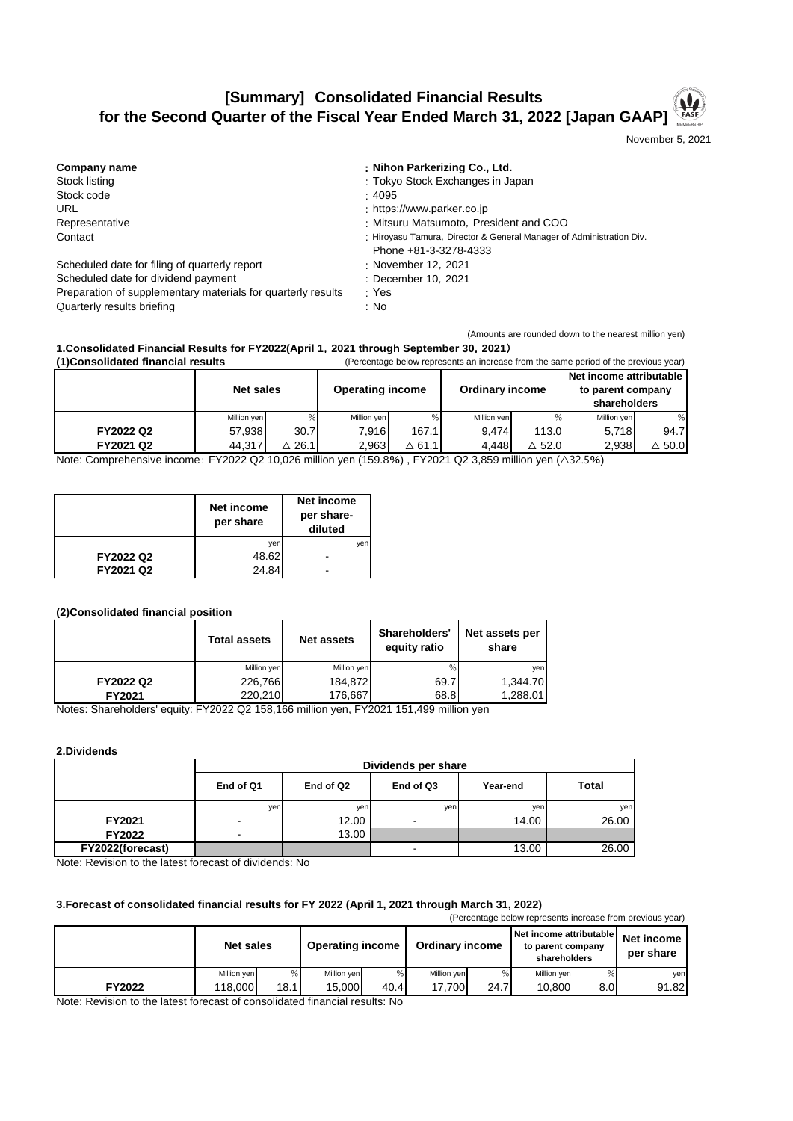## **[Summary] Consolidated Financial Results for the Second Quarter of the Fiscal Year Ended March 31, 2022 [Japan GAAP]**

November 5, 2021

(Amounts are rounded down to the nearest million yen)

| Company name                                                 | : Nihon Parkerizing Co., Ltd.                                        |
|--------------------------------------------------------------|----------------------------------------------------------------------|
| Stock listing                                                | : Tokyo Stock Exchanges in Japan                                     |
| Stock code                                                   | : 4095                                                               |
| URL                                                          | : https://www.parker.co.jp                                           |
| Representative                                               | : Mitsuru Matsumoto, President and COO                               |
| Contact                                                      | : Hiroyasu Tamura, Director & General Manager of Administration Div. |
|                                                              | Phone +81-3-3278-4333                                                |
| Scheduled date for filing of quarterly report                | : November 12, 2021                                                  |
| Scheduled date for dividend payment                          | : December 10, 2021                                                  |
| Preparation of supplementary materials for quarterly results | :Yes                                                                 |
| Quarterly results briefing                                   | : No                                                                 |

## **(1)Consolidated financial results** (Percentage below represents an increase from the same period of the previous year) **1.Consolidated Financial Results for FY2022(April 1**,**2021 through September 30**,**2021**)

| TIGHTSUINGLEU TIHAHUIGI TESUILS<br>Crocinage below represents an increase from the same period of the previous year) |             |                  |                         |                  |                        |                  |                                                              |                  |
|----------------------------------------------------------------------------------------------------------------------|-------------|------------------|-------------------------|------------------|------------------------|------------------|--------------------------------------------------------------|------------------|
|                                                                                                                      | Net sales   |                  | <b>Operating income</b> |                  | <b>Ordinary income</b> |                  | Net income attributable<br>to parent company<br>shareholders |                  |
|                                                                                                                      | Million yen | %                | Million yen             |                  | Million yen            |                  | Million yen                                                  |                  |
| FY2022 Q2                                                                                                            | 57.938      | 30.7             | 7.916                   | 167.1            | 9.474                  | 113.0            | 5.718                                                        | 94.7             |
| FY2021 Q2                                                                                                            | 44.317      | $\triangle$ 26.1 | 2,963                   | $\triangle$ 61.1 | 4.448                  | $\triangle$ 52.0 | 2,938                                                        | $\triangle$ 50.0 |

Note: Comprehensive income: FY2022 Q2 10,026 million yen (159.8%) , FY2021 Q2 3,859 million yen (△32.5%)

|           | Net income<br>per share | Net income<br>per share-<br>diluted |
|-----------|-------------------------|-------------------------------------|
|           | yen                     | ven                                 |
| FY2022 Q2 | 48.62                   |                                     |
| FY2021 Q2 | 24.84                   | $\overline{\phantom{0}}$            |

## **(2)Consolidated financial position**

|           | <b>Total assets</b> | <b>Net assets</b> | Shareholders'<br>equity ratio | Net assets per<br>share |
|-----------|---------------------|-------------------|-------------------------------|-------------------------|
|           | Million yen         | Million yen       | %                             | ven                     |
| FY2022 Q2 | 226,766             | 184.872           | 69.7                          | 1.344.70                |
| FY2021    | 220.210             | 176.667           | 68.8                          | 1,288.01                |

Notes: Shareholders' equity: FY2022 Q2 158,166 million yen, FY2021 151,499 million yen

**2.Dividends**

|                  | Dividends per share      |           |                |          |              |  |  |  |
|------------------|--------------------------|-----------|----------------|----------|--------------|--|--|--|
|                  | End of Q1                | End of Q2 | End of Q3      | Year-end | <b>Total</b> |  |  |  |
|                  | yen                      | yen       | yen            | yen      | yen          |  |  |  |
| FY2021           | $\overline{\phantom{0}}$ | 12.00     | $\blacksquare$ | 14.00    | 26.00        |  |  |  |
| <b>FY2022</b>    | $\overline{\phantom{0}}$ | 13.00     |                |          |              |  |  |  |
| FY2022(forecast) |                          |           | ۰              | 13.00    | 26.00        |  |  |  |

Note: Revision to the latest forecast of dividends: No

## **3.Forecast of consolidated financial results for FY 2022 (April 1, 2021 through March 31, 2022)**

| (Percentage below represents increase from previous year) |                  |      |                         |      |                        |      |                                                              |      |                         |
|-----------------------------------------------------------|------------------|------|-------------------------|------|------------------------|------|--------------------------------------------------------------|------|-------------------------|
|                                                           | <b>Net sales</b> |      | <b>Operating income</b> |      | <b>Ordinary income</b> |      | Net income attributable<br>to parent company<br>shareholders |      | Net income<br>per share |
|                                                           | Million yen      | %    | Million yen             |      | Million ven            |      | Million ven                                                  |      | yen                     |
| FY2022                                                    | 118,000          | 18.1 | 15.000                  | 40.4 | 17.700                 | 24.7 | 10.800                                                       | 8.OI | 91.82                   |

Note: Revision to the latest forecast of consolidated financial results: No